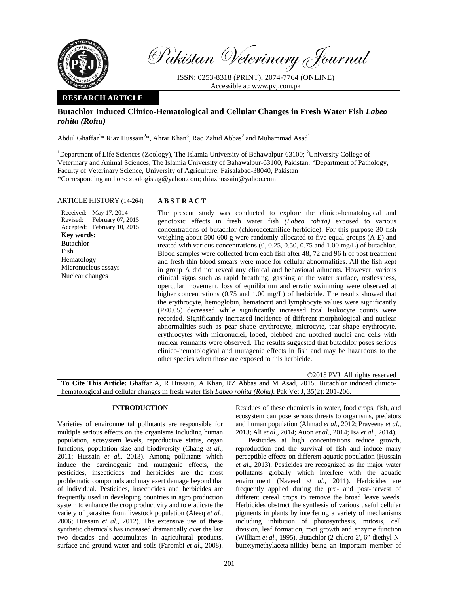

Pakistan Veterinary Journal

ISSN: 0253-8318 (PRINT), 2074-7764 (ONLINE) Accessible at: www.pvj.com.pk

## **RESEARCH ARTICLE**

# **Butachlor Induced Clinico-Hematological and Cellular Changes in Fresh Water Fish** *Labeo rohita (Rohu)*

Abdul Ghaffar<sup>1</sup>\* Riaz Hussain<sup>2</sup>\*, Ahrar Khan<sup>3</sup>, Rao Zahid Abbas<sup>2</sup> and Muhammad Asad<sup>1</sup>

<sup>1</sup>Department of Life Sciences (Zoology), The Islamia University of Bahawalpur-63100; <sup>2</sup>University College of Veterinary and Animal Sciences, The Islamia University of Bahawalpur-63100, Pakistan; <sup>3</sup>Department of Pathology, Faculty of Veterinary Science, University of Agriculture, Faisalabad-38040, Pakistan \*Corresponding authors: zoologistag@yahoo.com; driazhussain@yahoo.com

## ARTICLE HISTORY (14-264) **ABSTRACT**

Received: May 17, 2014 Revised: Accepted: February 07, 2015 February 10, 2015 **Key words:**  Butachlor Fish Hematology Micronucleus assays Nuclear changes

 The present study was conducted to explore the clinico-hematological and genotoxic effects in fresh water fish *(Labeo rohita)* exposed to various concentrations of butachlor (chloroacetanilide herbicide). For this purpose 30 fish weighing about 500-600 g were randomly allocated to five equal groups (A-E) and treated with various concentrations (0, 0.25, 0.50, 0.75 and 1.00 mg/L) of butachlor. Blood samples were collected from each fish after 48, 72 and 96 h of post treatment and fresh thin blood smears were made for cellular abnormalities. All the fish kept in group A did not reveal any clinical and behavioral ailments. However, various clinical signs such as rapid breathing, gasping at the water surface, restlessness, opercular movement, loss of equilibrium and erratic swimming were observed at higher concentrations (0.75 and 1.00 mg/L) of herbicide. The results showed that the erythrocyte, hemoglobin, hematocrit and lymphocyte values were significantly (P<0.05) decreased while significantly increased total leukocyte counts were recorded. Significantly increased incidence of different morphological and nuclear abnormalities such as pear shape erythrocyte, microcyte, tear shape erythrocyte, erythrocytes with micronuclei, lobed, blebbed and notched nuclei and cells with nuclear remnants were observed. The results suggested that butachlor poses serious clinico-hematological and mutagenic effects in fish and may be hazardous to the other species when those are exposed to this herbicide.

©2015 PVJ. All rights reserved

**To Cite This Article:** Ghaffar A, R Hussain, A Khan, RZ Abbas and M Asad, 2015. Butachlor induced clinicohematological and cellular changes in fresh water fish *Labeo rohita (Rohu)*. Pak Vet J, 35(2): 201-206.

# **INTRODUCTION**

Varieties of environmental pollutants are responsible for multiple serious effects on the organisms including human population, ecosystem levels, reproductive status, organ functions, population size and biodiversity (Chang *et al*., 2011; Hussain *et al*., 2013). Among pollutants which induce the carcinogenic and mutagenic effects, the pesticides, insecticides and herbicides are the most problematic compounds and may exert damage beyond that of individual. Pesticides, insecticides and herbicides are frequently used in developing countries in agro production system to enhance the crop productivity and to eradicate the variety of parasites from livestock population (Ateeq *et al.,* 2006; Hussain *et al*., 2012). The extensive use of these synthetic chemicals has increased dramatically over the last two decades and accumulates in agricultural products, surface and ground water and soils (Farombi *et al*., 2008).

Residues of these chemicals in water, food crops, fish, and ecosystem can pose serious threats to organisms, predators and human population (Ahmad *et al*., 2012; Praveena *et al*., 2013; Ali *et al*., 2014; Auon *et al*., 2014; Isa *et al.*, 2014).

Pesticides at high concentrations reduce growth, reproduction and the survival of fish and induce many perceptible effects on different aquatic population (Hussain *et al*., 2013). Pesticides are recognized as the major water pollutants globally which interfere with the aquatic environment (Naveed *et al*., 2011). Herbicides are frequently applied during the pre- and post-harvest of different cereal crops to remove the broad leave weeds. Herbicides obstruct the synthesis of various useful cellular pigments in plants by interfering a variety of mechanisms including inhibition of photosynthesis, mitosis, cell division, leaf formation, root growth and enzyme function (William *et al*., 1995). Butachlor (2-chloro-2', 6"-diethyl-Nbutoxymethylaceta-nilide) being an important member of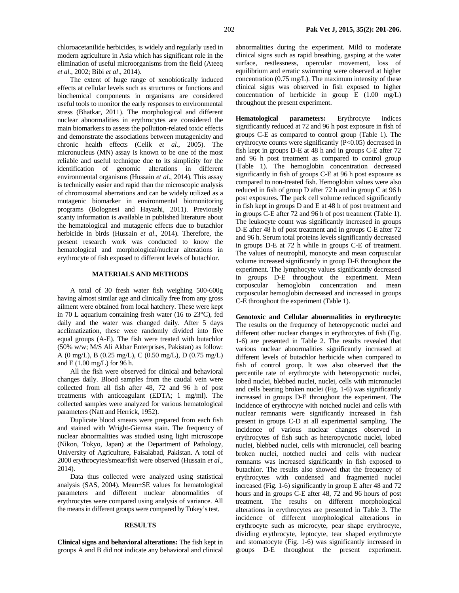chloroacetanilide herbicides, is widely and regularly used in modern agriculture in Asia which has significant role in the elimination of useful microorganisms from the field (Ateeq *et al*., 2002; Bibi *et al*., 2014).

The extent of huge range of xenobiotically induced effects at cellular levels such as structures or functions and biochemical components in organisms are considered useful tools to monitor the early responses to environmental stress (Bhatkar, 2011). The morphological and different nuclear abnormalities in erythrocytes are considered the main biomarkers to assess the pollution-related toxic effects and demonstrate the associations between mutagenicity and chronic health effects (Celik *et al.,* 2005). The micronucleus (MN) assay is known to be one of the most reliable and useful technique due to its simplicity for the identification of genomic alterations in different environmental organisms (Hussain *et al*., 2014). This assay is technically easier and rapid than the microscopic analysis of chromosomal aberrations and can be widely utilized as a mutagenic biomarker in environmental biomonitoring programs (Bolognesi and Hayashi, 2011). Previously scanty information is available in published literature about the hematological and mutagenic effects due to butachlor herbicide in birds (Hussain *et al*., 2014). Therefore, the present research work was conducted to know the hematological and morphological/nuclear alterations in erythrocyte of fish exposed to different levels of butachlor.

### **MATERIALS AND METHODS**

A total of 30 fresh water fish weighing 500-600g having almost similar age and clinically free from any gross ailment were obtained from local hatchery. These were kept in 70 L aquarium containing fresh water (16 to 23°C), fed daily and the water was changed daily. After 5 days acclimatization, these were randomly divided into five equal groups (A-E). The fish were treated with butachlor (50% w/w; M/S Ali Akbar Enterprises, Pakistan) as follow: A (0 mg/L), B (0.25 mg/L), C (0.50 mg/L), D (0.75 mg/L) and E (1.00 mg/L) for 96 h.

All the fish were observed for clinical and behavioral changes daily. Blood samples from the caudal vein were collected from all fish after 48, 72 and 96 h of post treatments with anticoagulant (EDTA; 1 mg/ml). The collected samples were analyzed for various hematological parameters (Natt and Herrick, 1952).

Duplicate blood smears were prepared from each fish and stained with Wright-Giemsa stain. The frequency of nuclear abnormalities was studied using light microscope (Nikon, Tokyo, Japan) at the Department of Pathology, University of Agriculture, Faisalabad, Pakistan. A total of 2000 erythrocytes/smear/fish were observed (Hussain *et al*., 2014).

Data thus collected were analyzed using statistical analysis (SAS, 2004). Mean±SE values for hematological parameters and different nuclear abnormalities of erythrocytes were compared using analysis of variance. All the means in different groups were compared by Tukey's test.

#### **RESULTS**

**Clinical signs and behavioral alterations:** The fish kept in groups A and B did not indicate any behavioral and clinical abnormalities during the experiment. Mild to moderate clinical signs such as rapid breathing, gasping at the water surface, restlessness, opercular movement, loss of equilibrium and erratic swimming were observed at higher concentration (0.75 mg/L). The maximum intensity of these clinical signs was observed in fish exposed to higher concentration of herbicide in group E (1.00 mg/L) throughout the present experiment.

**Hematological parameters:** Erythrocyte indices significantly reduced at 72 and 96 h post exposure in fish of groups C-E as compared to control group (Table 1). The erythrocyte counts were significantly (P<0.05) decreased in fish kept in groups D-E at 48 h and in groups C-E after 72 and 96 h post treatment as compared to control group (Table 1). The hemoglobin concentration decreased significantly in fish of groups C-E at 96 h post exposure as compared to non-treated fish. Hemoglobin values were also reduced in fish of group D after 72 h and in group C at 96 h post exposures. The pack cell volume reduced significantly in fish kept in groups D and E at 48 h of post treatment and in groups C-E after 72 and 96 h of post treatment (Table 1). The leukocyte count was significantly increased in groups D-E after 48 h of post treatment and in groups C-E after 72 and 96 h. Serum total proteins levels significantly decreased in groups D-E at 72 h while in groups C-E of treatment. The values of neutrophil, monocyte and mean corpuscular volume increased significantly in group D-E throughout the experiment. The lymphocyte values significantly decreased in groups D-E throughout the experiment. Mean corpuscular hemoglobin concentration and mean corpuscular hemoglobin decreased and increased in groups C-E throughout the experiment (Table 1).

**Genotoxic and Cellular abnormalities in erythrocyte:**  The results on the frequency of heteropycnotic nuclei and different other nuclear changes in erythrocytes of fish (Fig. 1-6) are presented in Table 2. The results revealed that various nuclear abnormalities significantly increased at different levels of butachlor herbicide when compared to fish of control group. It was also observed that the percentile rate of erythrocyte with heteropycnotic nuclei, lobed nuclei, blebbed nuclei, nuclei, cells with micronuclei and cells bearing broken nuclei (Fig. 1-6) was significantly increased in groups D-E throughout the experiment. The incidence of erythrocyte with notched nuclei and cells with nuclear remnants were significantly increased in fish present in groups C-D at all experimental sampling. The incidence of various nuclear changes observed in erythrocytes of fish such as heteropycnotic nuclei, lobed nuclei, blebbed nuclei, cells with micronuclei, cell bearing broken nuclei, notched nuclei and cells with nuclear remnants was increased significantly in fish exposed to butachlor. The results also showed that the frequency of erythrocytes with condensed and fragmented nuclei increased (Fig. 1-6) significantly in group E after 48 and 72 hours and in groups C-E after 48, 72 and 96 hours of post treatment. The results on different morphological alterations in erythrocytes are presented in Table 3. The incidence of different morphological alterations in erythrocyte such as microcyte, pear shape erythrocyte, dividing erythrocyte, leptocyte, tear shaped erythrocyte and stomatocyte (Fig. 1-6) was significantly increased in groups D-E throughout the present experiment.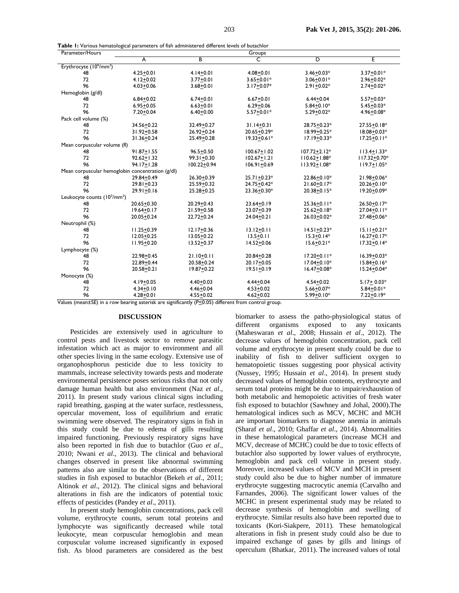|  |  | Table I: Various hematological parameters of fish administered different levels of butachlor |  |  |
|--|--|----------------------------------------------------------------------------------------------|--|--|
|  |  |                                                                                              |  |  |

| Parameter/Hours                                                                                                           | Groups         |                 |                 |                  |                  |  |
|---------------------------------------------------------------------------------------------------------------------------|----------------|-----------------|-----------------|------------------|------------------|--|
|                                                                                                                           | A              | $\overline{B}$  | $\overline{C}$  | ъ                | E                |  |
| Erythrocyte (10 <sup>6</sup> /mm <sup>3</sup> )                                                                           |                |                 |                 |                  |                  |  |
| 48                                                                                                                        | $4.25 + 0.01$  | $4.14 + 0.01$   | $4.08 + 0.01$   | $3.46 + 0.03*$   | $3.37 + 0.01*$   |  |
| 72                                                                                                                        | $4.12 + 0.02$  | $3.77 + 0.01$   | $3.65 + 0.01*$  | $3.06 + 0.01*$   | $2.96 + 0.02*$   |  |
| 96                                                                                                                        | $4.03 + 0.06$  | $3.68 + 0.01$   | $3.17 + 0.07*$  | $2.91 + 0.02*$   | $2.74 + 0.02*$   |  |
| Hemoglobin (g/dl)                                                                                                         |                |                 |                 |                  |                  |  |
| 48                                                                                                                        | $6.84 + 0.02$  | $6.74 + 0.01$   | $6.67 + 0.01$   | $6.44 + 0.04$    | $5.57 + 0.03*$   |  |
| 72                                                                                                                        | $6.95 + 0.05$  | $6.63 + 0.01$   | $6.29 + 0.06$   | $5.84 + 0.10*$   | $5.45 + 0.03*$   |  |
| 96                                                                                                                        | $7.20 + 0.04$  | $6.40 + 0.00$   | $5.57 + 0.01*$  | $5.29 + 0.02*$   | 4.96+0.08*       |  |
| Pack cell volume (%)                                                                                                      |                |                 |                 |                  |                  |  |
| 48                                                                                                                        | 34.56+0.22     | 32.49+0.27      | $31.14 + 0.31$  | 28.75+0.23*      | $27.55 + 0.18*$  |  |
| 72                                                                                                                        | 31.92+0.58     | $26.92 + 0.24$  | 20.65+0.29*     | 18.99+0.25*      | $18.08 + 0.03*$  |  |
| 96                                                                                                                        | 31.36+0.24     | 25.49+0.28      | $19.33 + 0.61*$ | $17.19 + 0.33*$  | $17.25 + 0.11*$  |  |
| Mean corpuscular volume (fl)                                                                                              |                |                 |                 |                  |                  |  |
| 48                                                                                                                        | $91.87 + 1.55$ | $96.5 + 0.50$   | $100.67 + 1.02$ | $107.72 + 2.12*$ | $113.4 + 1.33*$  |  |
| 72                                                                                                                        | $92.62 + 1.32$ | $99.31 + 0.30$  | $102.67 + 1.21$ | $110.62 + 1.88*$ | $117.32 + 0.70*$ |  |
| 96                                                                                                                        | $94.17 + 1.28$ | $100.22 + 0.94$ | $106.91 + 0.69$ | $113.92 + 1.08*$ | $119.7 + 1.05*$  |  |
| Mean corpuscular hemoglobin concentration (g/dl)                                                                          |                |                 |                 |                  |                  |  |
| 48                                                                                                                        | 29.84+0.49     | $26.30 + 0.39$  | $25.71 + 0.23*$ | 22.86+0.10*      | 21.98+0.06*      |  |
| 72                                                                                                                        | $29.81 + 0.23$ | $25.59 + 0.32$  | 24.75+0.42*     | $21.60 + 0.17*$  | $20.26 + 0.10*$  |  |
| 96                                                                                                                        | $29.91 + 0.16$ | $25.28 + 0.25$  | 23.36+0.30*     | $20.38 + 0.15*$  | $19.20 + 0.09*$  |  |
| Leukocyte counts (103/mm3)                                                                                                |                |                 |                 |                  |                  |  |
| 48                                                                                                                        | $20.65 + 0.30$ | $20.29 + 0.43$  | $23.64 + 0.19$  | $25.36 + 0.11*$  | $26.50 + 0.17*$  |  |
| 72                                                                                                                        | $19.64 + 0.17$ | 21.59+0.58      | 23.07+0.39      | $25.62 + 0.18*$  | $27.04 + 0.11*$  |  |
| 96                                                                                                                        | $20.05 + 0.24$ | $22.72 + 0.24$  | $24.04 + 0.21$  | $26.03 + 0.02*$  | 27.48+0.06*      |  |
| Neutrophil (%)                                                                                                            |                |                 |                 |                  |                  |  |
| 48                                                                                                                        | $11.25 + 0.39$ | $12.17 + 0.36$  | $13.12 + 0.11$  | $14.51 + 0.23*$  | $15.11 + 0.21*$  |  |
| 72                                                                                                                        | $12.05 + 0.25$ | $13.05 + 0.22$  | $13.5 + 0.11$   | $15.3 + 0.14*$   | $16.27 + 0.17*$  |  |
| 96                                                                                                                        | $11.95 + 0.20$ | $13.52 + 0.37$  | $14.52 + 0.06$  | $15.6 + 0.21*$   | $17.32 + 0.14*$  |  |
| Lymphocyte (%)                                                                                                            |                |                 |                 |                  |                  |  |
| 48                                                                                                                        | 22.98+0.45     | $21.10 + 0.11$  | $20.84 + 0.28$  | $17.20 + 0.11*$  | $16.39 + 0.03*$  |  |
| 72                                                                                                                        | 22.89+0.44     | $20.58 + 0.24$  | 20.17+0.05      | $17.04 + 0.10*$  | $15.84 + 0.16*$  |  |
| 96                                                                                                                        | $20.58 + 0.21$ | $19.87 + 0.22$  | $19.51 + 0.19$  | $16.47 + 0.08*$  | $15.24 + 0.04*$  |  |
| Monocyte (%)                                                                                                              |                |                 |                 |                  |                  |  |
| 48                                                                                                                        | $4.19 + 0.05$  | $4.40 + 0.03$   | $4.44 + 0.04$   | $4.54 + 0.02$    | $5.17 + 0.03*$   |  |
| 72                                                                                                                        | $4.34 + 0.10$  | $4.46 + 0.04$   | $4.53 + 0.02$   | $5.66 + 0.07*$   | $5.84 + 0.01*$   |  |
| 96<br>$\lambda$ oluge (moon $\pm$ CE) in a nour bearing actorials are significantly (B<0.05) different from control group | $4.28 + 0.01$  | $4.55 + 0.02$   | $4.62 + 0.02$   | $5.99 + 0.10*$   | $7.22 + 0.19*$   |  |

Values (mean±SE) in a row bearing asterisk are significantly (P<0.05) different from control group.

## **DISCUSSION**

Pesticides are extensively used in agriculture to control pests and livestock sector to remove parasitic infestation which act as major to environment and all other species living in the same ecology. Extensive use of organophosphorus pesticide due to less toxicity to mammals, increase selectivity towards pests and moderate environmental persistence poses serious risks that not only damage human health but also environment (Naz et al., 2011). In present study various clinical signs including rapid breathing, gasping at the water surface, restlessness, opercular movement, loss of equilibrium and erratic swimming were observed. The respiratory signs in fish in this study could be due to edema of gills resulting impaired functioning. Previously respiratory signs have also been reported in fish due to butachlor (Guo et al., 2010; Nwani et al., 2013). The clinical and behavioral changes observed in present like abnormal swimming patterns also are similar to the observations of different studies in fish exposed to butachlor (Bekeh et al., 2011; Altinok et al., 2012). The clinical signs and behavioral alterations in fish are the indicators of potential toxic effects of pesticides (Pandey et al., 2011).

In present study hemoglobin concentrations, pack cell volume, erythrocyte counts, serum total proteins and lymphocyte was significantly decreased while total leukocyte, mean corpuscular hemoglobin and mean corpuscular volume increased significantly in exposed fish. As blood parameters are considered as the best

biomarker to assess the patho-physiological status of different organisms exposed to any toxicants (Maheswaran et al., 2008; Hussain et al., 2012). The decrease values of hemoglobin concentration, pack cell volume and erythrocyte in present study could be due to inability of fish to deliver sufficient oxygen to hematopoietic tissues suggesting poor physical activity (Nussey, 1995; Hussain et al., 2014). In present study decreased values of hemoglobin contents, erythrocyte and serum total proteins might be due to impair/exhaustion of both metabolic and hemopoietic activities of fresh water fish exposed to butachlor (Sawhney and Johal, 2000). The hematological indices such as MCV, MCHC and MCH are important biomarkers to diagnose anemia in animals (Sharaf et al., 2010; Ghaffar et al., 2014). Abnormalities in these hematological parameters (increase MCH and MCV, decrease of MCHC) could be due to toxic effects of butachlor also supported by lower values of erythrocyte, hemoglobin and pack cell volume in present study. Moreover, increased values of MCV and MCH in present study could also be due to higher number of immature erythrocyte suggesting macrocytic anemia (Carvalho and Farnandes, 2006). The significant lower values of the MCHC in present experimental study may be related to decrease synthesis of hemoglobin and swelling of erythrocyte. Similar results also have been reported due to toxicants (Kori-Siakpere, 2011). These hematological alterations in fish in present study could also be due to impaired exchange of gases by gills and linings of operculum (Bhatkar, 2011). The increased values of total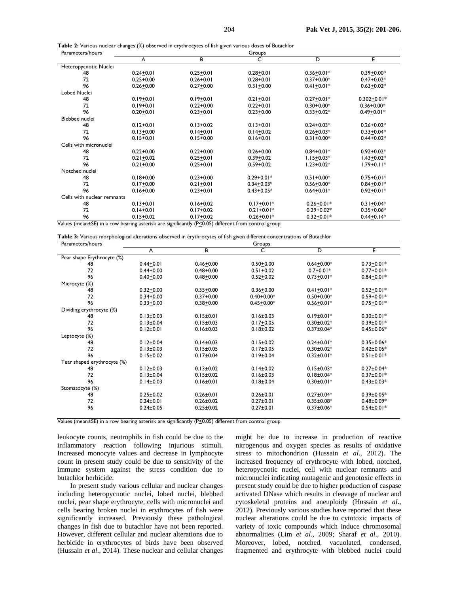| ${\sf Table~2:}$ Various nuclear changes (%) observed in erythrocytes of fish given various doses of Butachlor |  |
|----------------------------------------------------------------------------------------------------------------|--|
|----------------------------------------------------------------------------------------------------------------|--|

| Parameters/hours                                                                                         |               |               | Groups         |                |                 |  |
|----------------------------------------------------------------------------------------------------------|---------------|---------------|----------------|----------------|-----------------|--|
|                                                                                                          | A             | В             | C              | D              | E               |  |
| Heteropycnotic Nuclei                                                                                    |               |               |                |                |                 |  |
| 48                                                                                                       | $0.24 + 0.01$ | $0.25 + 0.01$ | $0.28 + 0.01$  | $0.36 + 0.01*$ | $0.39 + 0.00*$  |  |
| 72                                                                                                       | $0.25 + 0.00$ | $0.26 + 0.01$ | $0.28 + 0.01$  | $0.37 + 0.00*$ | $0.47 + 0.02*$  |  |
| 96                                                                                                       | $0.26 + 0.00$ | $0.27 + 0.00$ | $0.31 + 0.00$  | $0.41 + 0.01*$ | $0.63 + 0.02*$  |  |
| Lobed Nuclei                                                                                             |               |               |                |                |                 |  |
| 48                                                                                                       | $0.19 + 0.01$ | $0.19 + 0.01$ | $0.21 + 0.01$  | $0.27 + 0.01*$ | $0.302 + 0.01*$ |  |
| 72                                                                                                       | $0.19 + 0.01$ | $0.22 + 0.00$ | $0.22 + 0.01$  | $0.30 + 0.00*$ | $0.36 + 0.00*$  |  |
| 96                                                                                                       | $0.20 + 0.01$ | $0.23 + 0.01$ | $0.23 + 0.00$  | $0.33 + 0.02*$ | $0.49 + 0.01*$  |  |
| Blebbed nuclei                                                                                           |               |               |                |                |                 |  |
| 48                                                                                                       | $0.12 + 0.01$ | $0.13 + 0.02$ | $0.13 + 0.01$  | $0.24 + 0.03*$ | $0.26 + 0.02*$  |  |
| 72                                                                                                       | $0.13 + 0.00$ | $0.14 + 0.01$ | $0.14 + 0.02$  | $0.26 + 0.03*$ | $0.33 + 0.04*$  |  |
| 96                                                                                                       | $0.15 + 0.01$ | $0.15 + 0.00$ | $0.16 + 0.01$  | $0.31 + 0.00*$ | $0.44 + 0.02*$  |  |
| Cells with micronuclei                                                                                   |               |               |                |                |                 |  |
| 48                                                                                                       | $0.22 + 0.00$ | $0.22 + 0.00$ | $0.26 + 0.00$  | $0.84 + 0.01*$ | $0.92 + 0.02*$  |  |
| 72                                                                                                       | $0.21 + 0.02$ | $0.25 + 0.01$ | $0.39 + 0.02$  | $1.15 + 0.03*$ | $1.43 + 0.02*$  |  |
| 96                                                                                                       | $0.21 + 0.00$ | $0.25 + 0.01$ | $0.59 + 0.02$  | $1.23 + 0.02*$ | $1.79 + 0.11*$  |  |
| Notched nuclei                                                                                           |               |               |                |                |                 |  |
| 48                                                                                                       | $0.18 + 0.00$ | $0.23 + 0.00$ | $0.29 + 0.01*$ | $0.51 + 0.00*$ | $0.75 + 0.01*$  |  |
| 72                                                                                                       | $0.17 + 0.00$ | $0.21 + 0.01$ | $0.34 + 0.03*$ | $0.56 + 0.00*$ | $0.84 + 0.01*$  |  |
| 96                                                                                                       | $0.16 + 0.00$ | $0.23 + 0.01$ | $0.43 + 0.05*$ | $0.64 + 0.01*$ | $0.92 + 0.01*$  |  |
| Cells with nuclear remnants                                                                              |               |               |                |                |                 |  |
| 48                                                                                                       | $0.13 + 0.01$ | $0.16 + 0.02$ | $0.17 + 0.01*$ | $0.26 + 0.01*$ | $0.31 + 0.04*$  |  |
| 72                                                                                                       | $0.14 + 0.01$ | $0.17 + 0.02$ | $0.21 + 0.01*$ | $0.29 + 0.02*$ | $0.35 + 0.06*$  |  |
| 96                                                                                                       | $0.15 + 0.02$ | $0.17 + 0.02$ | $0.26 + 0.01*$ | $0.32 + 0.01*$ | $0.44 + 0.14*$  |  |
| Values (mean+SF) in a row bearing asterisk are significantly $(P \le 0.05)$ different from control group |               |               |                |                |                 |  |

|  | Table 3: Various morphological alterations observed in erythrocytes of fish given different concentrations of Butachlor |  |
|--|-------------------------------------------------------------------------------------------------------------------------|--|
|  |                                                                                                                         |  |

| Parameters/hours            | Groups          |                 |                 |                  |                  |  |  |
|-----------------------------|-----------------|-----------------|-----------------|------------------|------------------|--|--|
|                             | A               | В               | C               | D                | E                |  |  |
| Pear shape Erythrocyte (%)  |                 |                 |                 |                  |                  |  |  |
| 48                          | $0.44 + 0.01$   | $0.46 + 0.00$   | $0.50 + 0.00$   | $0.64 + 0.00*$   | $0.73 + 0.01*$   |  |  |
| 72                          | $0.44 + 0.00$   | $0.48 + 0.00$   | $0.51 + 0.02$   | $0.7 + 0.01*$    | $0.77 + 0.01*$   |  |  |
| 96                          | $0.40 + 0.00$   | $0.48 + 0.00$   | $0.52 + 0.02$   | $0.73 + 0.01*$   | $0.84 + 0.01*$   |  |  |
| Microcyte (%)               |                 |                 |                 |                  |                  |  |  |
| 48                          | $0.32 + 0.00$   | $0.35 + 0.00$   | $0.36 + 0.00$   | $0.41 + 0.01*$   | $0.52 + 0.01*$   |  |  |
| 72                          | $0.34 + 0.00$   | $0.37 + 0.00$   | $0.40 + 0.00*$  | $0.50 + 0.00*$   | $0.59 + 0.01*$   |  |  |
| 96                          | $0.33 + 0.00$   | $0.38 + 0.00$   | $0.45 + 0.00*$  | $0.56 + 0.01*$   | $0.75 + 0.01*$   |  |  |
| Dividing erythrocyte (%)    |                 |                 |                 |                  |                  |  |  |
| 48                          | $0.13 \pm 0.03$ | $0.15 \pm 0.01$ | $0.16 \pm 0.03$ | $0.19 \pm 0.01*$ | $0.30 \pm 0.01*$ |  |  |
| 72                          | $0.13 \pm 0.04$ | $0.15 \pm 0.03$ | $0.17 + 0.05$   | $0.30 \pm 0.02*$ | $0.39 \pm 0.01*$ |  |  |
| 96                          | $0.12 \pm 0.01$ | $0.16 \pm 0.03$ | $0.18 + 0.02$   | $0.37 \pm 0.04*$ | $0.45 \pm 0.06*$ |  |  |
| Leptocyte (%)               |                 |                 |                 |                  |                  |  |  |
| 48                          | $0.12 \pm 0.04$ | $0.14 \pm 0.03$ | $0.15 \pm 0.02$ | $0.24 \pm 0.01*$ | $0.35 \pm 0.06*$ |  |  |
| 72                          | $0.13 \pm 0.03$ | $0.15 \pm 0.05$ | $0.17 \pm 0.05$ | $0.30 \pm 0.02*$ | $0.42 \pm 0.06*$ |  |  |
| 96                          | $0.15 \pm 0.02$ | $0.17 \pm 0.04$ | $0.19 \pm 0.04$ | $0.32 \pm 0.01*$ | $0.51 \pm 0.01*$ |  |  |
| Tear shaped erythrocyte (%) |                 |                 |                 |                  |                  |  |  |
| 48                          | $0.12 \pm 0.03$ | $0.13 \pm 0.02$ | $0.14 \pm 0.02$ | $0.15 \pm 0.03*$ | $0.27 \pm 0.04*$ |  |  |
| 72                          | $0.13 \pm 0.04$ | $0.15 \pm 0.02$ | $0.16 \pm 0.03$ | $0.18 \pm 0.04*$ | $0.37 \pm 0.01*$ |  |  |
| 96                          | $0.14 \pm 0.03$ | $0.16 \pm 0.01$ | $0.18 \pm 0.04$ | $0.30 \pm 0.01*$ | $0.43 \pm 0.03*$ |  |  |
| Stomatocyte (%)             |                 |                 |                 |                  |                  |  |  |
| 48                          | $0.25 \pm 0.02$ | $0.26 \pm 0.01$ | $0.26 \pm 0.01$ | $0.27 \pm 0.04*$ | $0.39 \pm 0.05*$ |  |  |
| 72                          | $0.24 \pm 0.01$ | $0.26 \pm 0.02$ | $0.27 \pm 0.01$ | $0.35 \pm 0.08*$ | $0.48 \pm 0.09*$ |  |  |
| 96                          | $0.24 \pm 0.05$ | $0.25 \pm 0.02$ | $0.27 \pm 0.01$ | $0.37 \pm 0.06*$ | $0.54 \pm 0.01*$ |  |  |
|                             |                 |                 |                 |                  |                  |  |  |

Values (mean±SE) in a row bearing asterisk are significantly (P<0.05) different from control group.

leukocyte counts, neutrophils in fish could be due to the inflammatory reaction following injurious stimuli. Increased monocyte values and decrease in lymphocyte count in present study could be due to sensitivity of the immune system against the stress condition due to butachlor herbicide.

In present study various cellular and nuclear changes including heteropycnotic nuclei, lobed nuclei, blebbed nuclei, pear shape erythrocyte, cells with micronuclei and cells bearing broken nuclei in erythrocytes of fish were significantly increased. Previously these pathological changes in fish due to butachlor have not been reported. However, different cellular and nuclear alterations due to herbicide in erythrocytes of birds have been observed (Hussain et al., 2014). These nuclear and cellular changes

might be due to increase in production of reactive nitrogenous and oxygen species as results of oxidative stress to mitochondrion (Hussain et al., 2012). The increased frequency of erythrocyte with lobed, notched, heteropycnotic nuclei, cell with nuclear remnants and micronuclei indicating mutagenic and genotoxic effects in present study could be due to higher production of caspase activated DNase which results in cleavage of nuclear and cytoskeletal proteins and aneuploidy (Hussain et al., 2012). Previously various studies have reported that these nuclear alterations could be due to cytotoxic impacts of variety of toxic compounds which induce chromosomal abnormalities (Lim et al., 2009; Sharaf et al., 2010). Moreover, lobed, notched, vacuolated, condensed, fragmented and erythrocyte with blebbed nuclei could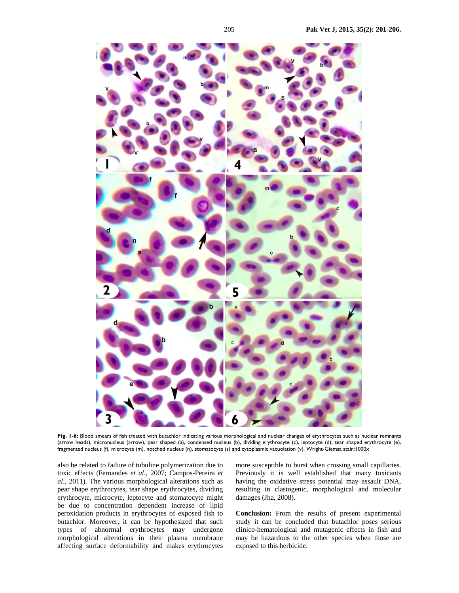

Fig. 1-6: Blood smears of fish treated with butachlor indicating various morphological and nuclear changes of erythrocytes such as nuclear remnants (arrow heads), micronucleus (arrow), pear shaped (a), condensed nucleus (b), dividing erythrocyte (c), leptocyte (d), tear shaped erythrocyte (e), fragmented nucleus (f), microcyte (m), notched nucleus (n), stomatocyte (s) and cytoplasmic vacuolation (v). Wright-Giemsa stain:1000x

also be related to failure of tubuline polymerization due to toxic effects (Fernandes *et al*., 2007; Campos-Pereira *et al*., 2011). The various morphological alterations such as pear shape erythrocytes, tear shape erythrocytes, dividing erythrocyte, microcyte, leptocyte and stomatocyte might be due to concentration dependent increase of lipid peroxidation products in erythrocytes of exposed fish to butachlor. Moreover, it can be hypothesized that such types of abnormal erythrocytes may undergone morphological alterations in their plasma membrane affecting surface deformability and makes erythrocytes

more susceptible to burst when crossing small capillaries. Previously it is well established that many toxicants having the oxidative stress potential may assault DNA, resulting in clastogenic, morphological and molecular damages (Jha, 2008).

**Conclusion:** From the results of present experimental study it can be concluded that butachlor poses serious clinico-hematological and mutagenic effects in fish and may be hazardous to the other species when those are exposed to this herbicide.